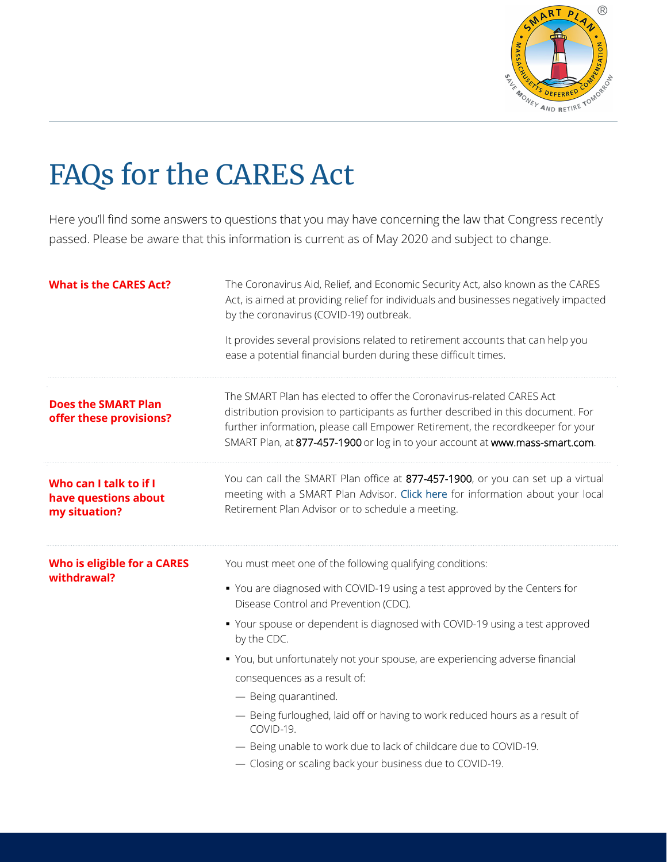

## FAQs for the CARES Act

Here you'll find some answers to questions that you may have concerning the law that Congress recently passed. Please be aware that this information is current as of May 2020 and subject to change.

| <b>What is the CARES Act?</b>                                   | The Coronavirus Aid, Relief, and Economic Security Act, also known as the CARES<br>Act, is aimed at providing relief for individuals and businesses negatively impacted<br>by the coronavirus (COVID-19) outbreak.<br>It provides several provisions related to retirement accounts that can help you<br>ease a potential financial burden during these difficult times. |
|-----------------------------------------------------------------|--------------------------------------------------------------------------------------------------------------------------------------------------------------------------------------------------------------------------------------------------------------------------------------------------------------------------------------------------------------------------|
| <b>Does the SMART Plan</b><br>offer these provisions?           | The SMART Plan has elected to offer the Coronavirus-related CARES Act<br>distribution provision to participants as further described in this document. For<br>further information, please call Empower Retirement, the recordkeeper for your<br>SMART Plan, at 877-457-1900 or log in to your account at www.mass-smart.com.                                             |
| Who can I talk to if I<br>have questions about<br>my situation? | You can call the SMART Plan office at 877-457-1900, or you can set up a virtual<br>meeting with a SMART Plan Advisor. Click here for information about your local<br>Retirement Plan Advisor or to schedule a meeting.                                                                                                                                                   |
| Who is eligible for a CARES<br>withdrawal?                      | You must meet one of the following qualifying conditions:<br>• You are diagnosed with COVID-19 using a test approved by the Centers for<br>Disease Control and Prevention (CDC).<br>• Your spouse or dependent is diagnosed with COVID-19 using a test approved<br>by the CDC.                                                                                           |
|                                                                 | • You, but unfortunately not your spouse, are experiencing adverse financial<br>consequences as a result of:<br>- Being quarantined.                                                                                                                                                                                                                                     |
|                                                                 | - Being furloughed, laid off or having to work reduced hours as a result of<br>COVID-19.                                                                                                                                                                                                                                                                                 |